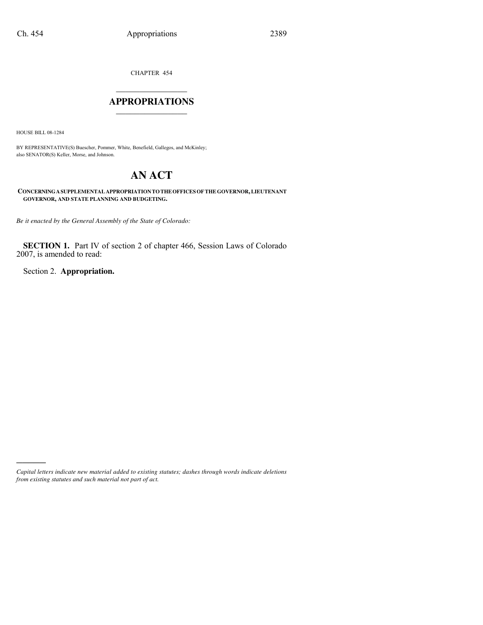CHAPTER 454

#### $\mathcal{L}_\text{max}$  , where  $\mathcal{L}_\text{max}$ **APPROPRIATIONS** \_\_\_\_\_\_\_\_\_\_\_\_\_\_\_

HOUSE BILL 08-1284

)))))

BY REPRESENTATIVE(S) Buescher, Pommer, White, Benefield, Gallegos, and McKinley; also SENATOR(S) Keller, Morse, and Johnson.

# **AN ACT**

**CONCERNING A SUPPLEMENTAL APPROPRIATION TO THE OFFICES OF THE GOVERNOR, LIEUTENANT GOVERNOR, AND STATE PLANNING AND BUDGETING.**

*Be it enacted by the General Assembly of the State of Colorado:*

**SECTION 1.** Part IV of section 2 of chapter 466, Session Laws of Colorado 2007, is amended to read:

Section 2. **Appropriation.**

*Capital letters indicate new material added to existing statutes; dashes through words indicate deletions from existing statutes and such material not part of act.*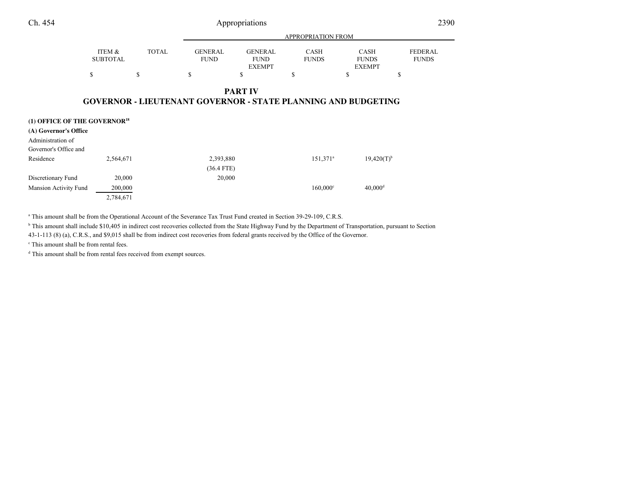| Ch. 454                                    |                           | Appropriations |                                                                      |                                                |                             | 2390                                         |                                |
|--------------------------------------------|---------------------------|----------------|----------------------------------------------------------------------|------------------------------------------------|-----------------------------|----------------------------------------------|--------------------------------|
|                                            |                           |                |                                                                      |                                                | <b>APPROPRIATION FROM</b>   |                                              |                                |
|                                            | ITEM &<br><b>SUBTOTAL</b> | <b>TOTAL</b>   | <b>GENERAL</b><br><b>FUND</b>                                        | <b>GENERAL</b><br><b>FUND</b><br><b>EXEMPT</b> | <b>CASH</b><br><b>FUNDS</b> | <b>CASH</b><br><b>FUNDS</b><br><b>EXEMPT</b> | <b>FEDERAL</b><br><b>FUNDS</b> |
|                                            | \$                        | $\mathbf S$    | \$                                                                   | S                                              | S                           | S                                            | S                              |
|                                            |                           |                | <b>GOVERNOR - LIEUTENANT GOVERNOR - STATE PLANNING AND BUDGETING</b> | <b>PART IV</b>                                 |                             |                                              |                                |
| (1) OFFICE OF THE GOVERNOR <sup>18</sup>   |                           |                |                                                                      |                                                |                             |                                              |                                |
| (A) Governor's Office                      |                           |                |                                                                      |                                                |                             |                                              |                                |
| Administration of<br>Governor's Office and |                           |                |                                                                      |                                                |                             |                                              |                                |
| Residence                                  | 2,564,671                 |                | 2,393,880                                                            |                                                | $151,371$ <sup>a</sup>      | $19,420(T)^{b}$                              |                                |
|                                            |                           |                | $(36.4$ FTE)                                                         |                                                |                             |                                              |                                |

Discretionary Fund 20,000 20,000 20,000 20,000 20,000 20,000 20,000 20,000 20,000 20,000 20,000 20,000 20,000 20,000 20,000 20,000 20,000 20,000 20,000 20,000 20,000 20,000 20,000 20,000 20,000 20,000 20,000 20,000 20,000 Mansion Activity Fund 200,000 200,000 160,000<sup>c</sup> 40,000<sup>d</sup> 40,000<sup>d</sup> 2,784,671

<sup>a</sup> This amount shall be from the Operational Account of the Severance Tax Trust Fund created in Section 39-29-109, C.R.S.

<sup>b</sup> This amount shall include \$10,405 in indirect cost recoveries collected from the State Highway Fund by the Department of Transportation, pursuant to Section

43-1-113 (8) (a), C.R.S., and \$9,015 shall be from indirect cost recoveries from federal grants received by the Office of the Governor.

c This amount shall be from rental fees.

<sup>d</sup> This amount shall be from rental fees received from exempt sources.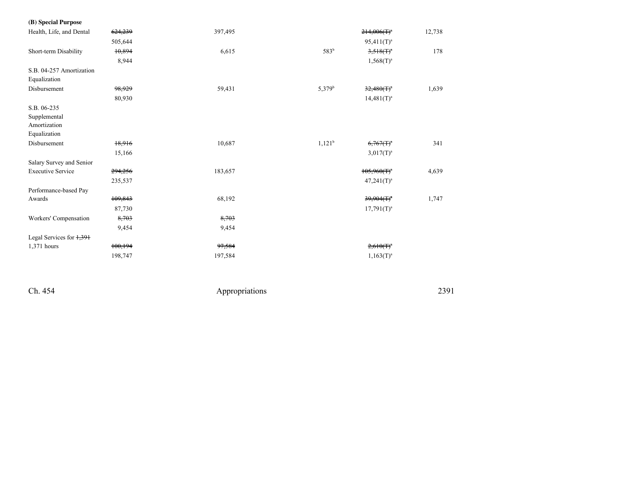| (B) Special Purpose                                         |         |         |                    |                  |        |
|-------------------------------------------------------------|---------|---------|--------------------|------------------|--------|
| Health, Life, and Dental                                    | 624,239 | 397,495 |                    | $214,006(f)^{a}$ | 12,738 |
|                                                             | 505,644 |         |                    | $95,411(T)^a$    |        |
| Short-term Disability                                       | 10,894  | 6,615   | 583 <sup>b</sup>   | $3,518(f)^4$     | 178    |
|                                                             | 8,944   |         |                    | $1,568(T)^{a}$   |        |
| S.B. 04-257 Amortization                                    |         |         |                    |                  |        |
| Equalization                                                |         |         |                    |                  |        |
| Disbursement                                                | 98,929  | 59,431  | 5,379 <sup>b</sup> | $32,480(T)^4$    | 1,639  |
|                                                             | 80,930  |         |                    | $14,481(T)^a$    |        |
| S.B. 06-235<br>Supplemental<br>Amortization<br>Equalization |         |         |                    |                  |        |
| Disbursement                                                | 18,916  | 10,687  | $1,121^b$          | $6,767(f)^4$     | 341    |
|                                                             | 15,166  |         |                    | $3,017(T)^a$     |        |
| Salary Survey and Senior                                    |         |         |                    |                  |        |
| <b>Executive Service</b>                                    | 294,256 | 183,657 |                    | $105,960(f)^a$   | 4,639  |
|                                                             | 235,537 |         |                    | $47,241(T)^a$    |        |
| Performance-based Pay                                       |         |         |                    |                  |        |
| Awards                                                      | 109,843 | 68,192  |                    | $39,904(f)^{a}$  | 1,747  |
|                                                             | 87,730  |         |                    | $17,791(T)^a$    |        |
| Workers' Compensation                                       | 8,703   | 8,703   |                    |                  |        |
|                                                             | 9,454   | 9,454   |                    |                  |        |
| Legal Services for $\frac{1}{2}$ , 391                      |         |         |                    |                  |        |
| 1,371 hours                                                 | 100,194 | 97,584  |                    | $2,610(T)^{a}$   |        |
|                                                             | 198,747 | 197,584 |                    | $1,163(T)^{a}$   |        |
|                                                             |         |         |                    |                  |        |

Ch. 454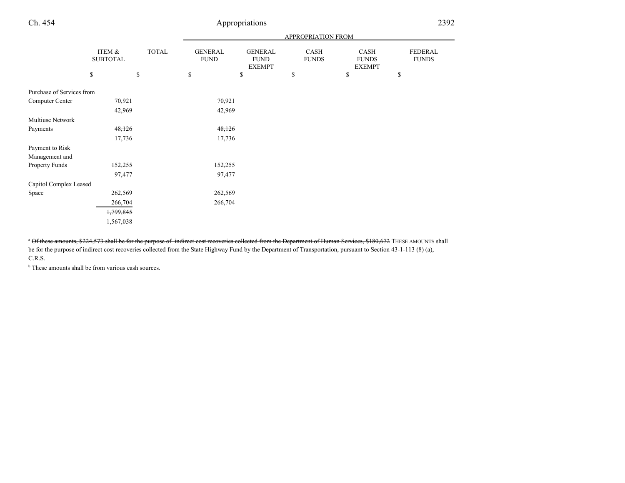### Appropriations <sup>2392</sup>

|                           |                           |              | <b>APPROPRIATION FROM</b>     |                                                |                      |                                       |                         |
|---------------------------|---------------------------|--------------|-------------------------------|------------------------------------------------|----------------------|---------------------------------------|-------------------------|
|                           | ITEM &<br><b>SUBTOTAL</b> | <b>TOTAL</b> | <b>GENERAL</b><br><b>FUND</b> | <b>GENERAL</b><br><b>FUND</b><br><b>EXEMPT</b> | CASH<br><b>FUNDS</b> | CASH<br><b>FUNDS</b><br><b>EXEMPT</b> | FEDERAL<br><b>FUNDS</b> |
|                           | \$                        | \$           | \$                            | \$                                             | \$                   | \$                                    | \$                      |
| Purchase of Services from |                           |              |                               |                                                |                      |                                       |                         |
| Computer Center           | 70,921                    |              | 70,921                        |                                                |                      |                                       |                         |
|                           | 42,969                    |              | 42,969                        |                                                |                      |                                       |                         |
| Multiuse Network          |                           |              |                               |                                                |                      |                                       |                         |
| Payments                  | 48,126                    |              | 48,126                        |                                                |                      |                                       |                         |
|                           | 17,736                    |              | 17,736                        |                                                |                      |                                       |                         |
| Payment to Risk           |                           |              |                               |                                                |                      |                                       |                         |
| Management and            |                           |              |                               |                                                |                      |                                       |                         |
| Property Funds            | 152,255                   |              | 152,255                       |                                                |                      |                                       |                         |
|                           | 97,477                    |              | 97,477                        |                                                |                      |                                       |                         |
| Capitol Complex Leased    |                           |              |                               |                                                |                      |                                       |                         |
| Space                     | 262,569                   |              | 262,569                       |                                                |                      |                                       |                         |
|                           | 266,704                   |              | 266,704                       |                                                |                      |                                       |                         |
|                           | 1,799,845                 |              |                               |                                                |                      |                                       |                         |
|                           | 1,567,038                 |              |                               |                                                |                      |                                       |                         |

<sup>a</sup> Of these amounts, \$224,573 shall be for the purpose of indirect cost recoveries collected from the Department of Human Services, \$180,672 THESE AMOUNTS shall be for the purpose of indirect cost recoveries collected from the State Highway Fund by the Department of Transportation, pursuant to Section 43-1-113 (8) (a), C.R.S.

 $\Phi$  These amounts shall be from various cash sources.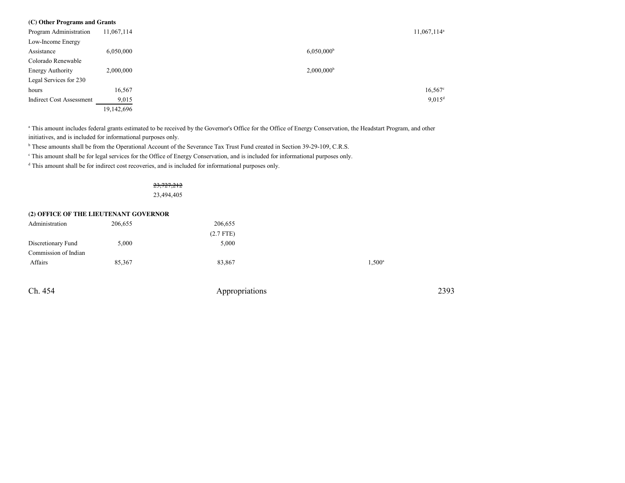| (C) Other Programs and Grants   |            |                          |  |
|---------------------------------|------------|--------------------------|--|
| Program Administration          | 11,067,114 | $11,067,114^a$           |  |
| Low-Income Energy               |            |                          |  |
| Assistance                      | 6,050,000  | $6,050,000$ <sup>b</sup> |  |
| Colorado Renewable              |            |                          |  |
| Energy Authority                | 2,000,000  | $2,000,000$ <sup>b</sup> |  |
| Legal Services for 230          |            |                          |  |
| hours                           | 16,567     | $16,567$ °               |  |
| <b>Indirect Cost Assessment</b> | 9,015      | $9,015$ <sup>d</sup>     |  |
|                                 | 19,142,696 |                          |  |

<sup>a</sup> This amount includes federal grants estimated to be received by the Governor's Office for the Office of Energy Conservation, the Headstart Program, and other initiatives, and is included for informational purposes only.

<sup>b</sup> These amounts shall be from the Operational Account of the Severance Tax Trust Fund created in Section 39-29-109, C.R.S.

c This amount shall be for legal services for the Office of Energy Conservation, and is included for informational purposes only.

<sup>d</sup> This amount shall be for indirect cost recoveries, and is included for informational purposes only.

## 23,727,212

23,494,405

#### **(2) OFFICE OF THE LIEUTENANT GOVERNOR**

| 206,655 | 206,655     |                 |
|---------|-------------|-----------------|
|         | $(2.7$ FTE) |                 |
| 5,000   | 5,000       |                 |
|         |             |                 |
| 85,367  | 83,867      | $1,500^{\rm a}$ |
|         |             |                 |
|         |             |                 |

Ch. 454Appropriations <sup>2393</sup>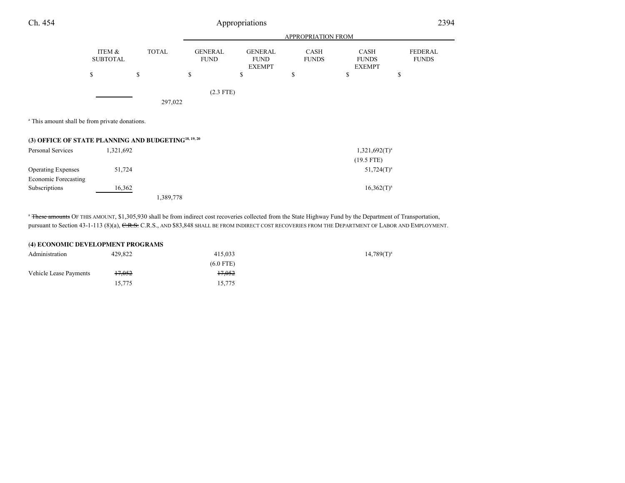| Ch. 454           |                                                                  |              |                               | Appropriations                                 |                             |                                              | 2394                           |
|-------------------|------------------------------------------------------------------|--------------|-------------------------------|------------------------------------------------|-----------------------------|----------------------------------------------|--------------------------------|
|                   |                                                                  |              |                               |                                                | APPROPRIATION FROM          |                                              |                                |
|                   | ITEM &<br><b>SUBTOTAL</b>                                        | <b>TOTAL</b> | <b>GENERAL</b><br><b>FUND</b> | <b>GENERAL</b><br><b>FUND</b><br><b>EXEMPT</b> | <b>CASH</b><br><b>FUNDS</b> | <b>CASH</b><br><b>FUNDS</b><br><b>EXEMPT</b> | <b>FEDERAL</b><br><b>FUNDS</b> |
|                   | \$                                                               | S            | \$                            | ъ                                              | \$                          | \$                                           | S                              |
|                   |                                                                  |              | $(2.3$ FTE)                   |                                                |                             |                                              |                                |
|                   |                                                                  | 297,022      |                               |                                                |                             |                                              |                                |
|                   | <sup>a</sup> This amount shall be from private donations.        |              |                               |                                                |                             |                                              |                                |
|                   | (3) OFFICE OF STATE PLANNING AND BUDGETING <sup>18, 19, 20</sup> |              |                               |                                                |                             |                                              |                                |
| Dorsonal Corrigge | 1, 221, 602                                                      |              |                               |                                                |                             | 1 221 602/T) <sup>a</sup>                    |                                |

| Personal Services         | 1,321,692 |           | $1,321,692(T)^{a}$ |
|---------------------------|-----------|-----------|--------------------|
|                           |           |           | $(19.5$ FTE)       |
| <b>Operating Expenses</b> | 51,724    |           | $51,724(T)^a$      |
| Economic Forecasting      |           |           |                    |
| <b>Subscriptions</b>      | 16,362    |           | $16,362(T)^a$      |
|                           |           | 1,389,778 |                    |

<sup>a</sup> These amounts OF THIS AMOUNT, \$1,305,930 shall be from indirect cost recoveries collected from the State Highway Fund by the Department of Transportation, pursuant to Section 43-1-113 (8)(a), <del>C.R.S.</del> C.R.S., AND \$83,848 SHALL BE FROM INDIRECT COST RECOVERIES FROM THE DEPARTMENT OF LABOR AND EMPLOYMENT.

| (4) ECONOMIC DEVELOPMENT PROGRAMS |         |             |                 |  |  |
|-----------------------------------|---------|-------------|-----------------|--|--|
| Administration                    | 429.822 | 415,033     | $14,789(T)^{a}$ |  |  |
|                                   |         | $(6.0$ FTE) |                 |  |  |
| Vehicle Lease Payments            | 17.052  | 17.052      |                 |  |  |
|                                   | 15.775  | 15,775      |                 |  |  |

 $\overline{\phantom{a}}$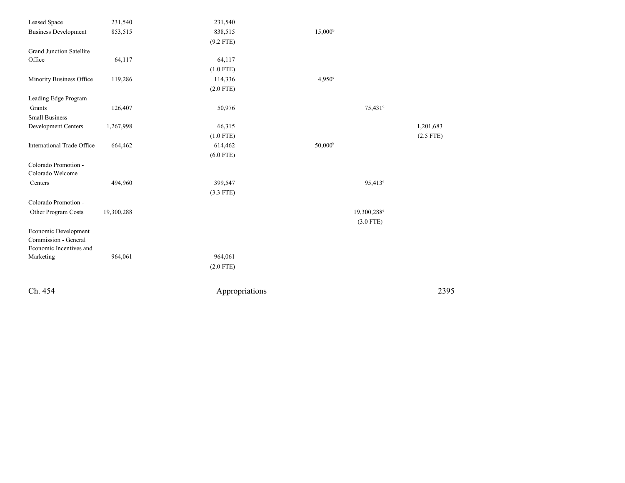| Leased Space                    | 231,540    | 231,540        |                         |             |
|---------------------------------|------------|----------------|-------------------------|-------------|
| <b>Business Development</b>     | 853,515    | 838,515        | 15,000 <sup>b</sup>     |             |
|                                 |            | $(9.2$ FTE)    |                         |             |
| <b>Grand Junction Satellite</b> |            |                |                         |             |
| Office                          | 64,117     | 64,117         |                         |             |
|                                 |            | $(1.0$ FTE)    |                         |             |
| Minority Business Office        | 119,286    | 114,336        | 4.950°                  |             |
|                                 |            | $(2.0$ FTE)    |                         |             |
| Leading Edge Program            |            |                |                         |             |
| Grants                          | 126,407    | 50,976         | $75,431$ <sup>d</sup>   |             |
| <b>Small Business</b>           |            |                |                         |             |
| Development Centers             | 1,267,998  | 66,315         |                         | 1,201,683   |
|                                 |            | $(1.0$ FTE)    |                         | $(2.5$ FTE) |
| International Trade Office      | 664,462    | 614,462        | 50,000 <sup>b</sup>     |             |
|                                 |            | $(6.0$ FTE)    |                         |             |
| Colorado Promotion -            |            |                |                         |             |
| Colorado Welcome                |            |                |                         |             |
| Centers                         | 494,960    | 399,547        | $95,413^e$              |             |
|                                 |            | $(3.3$ FTE)    |                         |             |
| Colorado Promotion -            |            |                |                         |             |
| Other Program Costs             | 19,300,288 |                | 19,300,288 <sup>e</sup> |             |
|                                 |            |                | $(3.0$ FTE)             |             |
| Economic Development            |            |                |                         |             |
| Commission - General            |            |                |                         |             |
| Economic Incentives and         |            |                |                         |             |
| Marketing                       | 964,061    | 964,061        |                         |             |
|                                 |            | $(2.0$ FTE)    |                         |             |
| Ch. 454                         |            | Appropriations |                         | 2395        |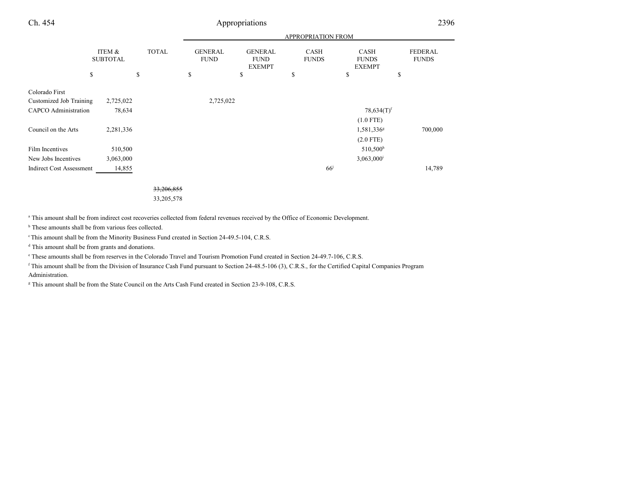| Ch. 454                         |                                      |              |                               | Appropriations                                 |                             |                                              | 2396                           |
|---------------------------------|--------------------------------------|--------------|-------------------------------|------------------------------------------------|-----------------------------|----------------------------------------------|--------------------------------|
|                                 |                                      |              |                               |                                                | <b>APPROPRIATION FROM</b>   |                                              |                                |
|                                 | <b>ITEM &amp;</b><br><b>SUBTOTAL</b> | <b>TOTAL</b> | <b>GENERAL</b><br><b>FUND</b> | <b>GENERAL</b><br><b>FUND</b><br><b>EXEMPT</b> | <b>CASH</b><br><b>FUNDS</b> | <b>CASH</b><br><b>FUNDS</b><br><b>EXEMPT</b> | <b>FEDERAL</b><br><b>FUNDS</b> |
|                                 | \$                                   | \$           | \$                            | \$                                             | \$                          | \$                                           | \$                             |
| Colorado First                  |                                      |              |                               |                                                |                             |                                              |                                |
| Customized Job Training         | 2,725,022                            |              | 2,725,022                     |                                                |                             |                                              |                                |
| <b>CAPCO</b> Administration     | 78,634                               |              |                               |                                                |                             | $78,634(T)$ <sup>f</sup>                     |                                |
|                                 |                                      |              |                               |                                                |                             | $(1.0$ FTE)                                  |                                |
| Council on the Arts             | 2,281,336                            |              |                               |                                                |                             | 1,581,336 <sup>g</sup>                       | 700,000                        |
|                                 |                                      |              |                               |                                                |                             | $(2.0$ FTE)                                  |                                |
| Film Incentives                 | 510,500                              |              |                               |                                                |                             | $510,500$ <sup>h</sup>                       |                                |
| New Jobs Incentives             | 3,063,000                            |              |                               |                                                |                             | $3,063,000$ <sup>i</sup>                     |                                |
| <b>Indirect Cost Assessment</b> | 14,855                               |              |                               |                                                | 66 <sup>j</sup>             |                                              | 14,789                         |

33,206,855

33,205,578

a This amount shall be from indirect cost recoveries collected from federal revenues received by the Office of Economic Development.

<sup>b</sup> These amounts shall be from various fees collected.

<sup>c</sup> This amount shall be from the Minority Business Fund created in Section 24-49.5-104, C.R.S.

<sup>d</sup> This amount shall be from grants and donations.

e These amounts shall be from reserves in the Colorado Travel and Tourism Promotion Fund created in Section 24-49.7-106, C.R.S.

 <sup>f</sup> This amount shall be from the Division of Insurance Cash Fund pursuant to Section 24-48.5-106 (3), C.R.S., for the Certified Capital Companies ProgramAdministration.

<sup>g</sup> This amount shall be from the State Council on the Arts Cash Fund created in Section 23-9-108, C.R.S.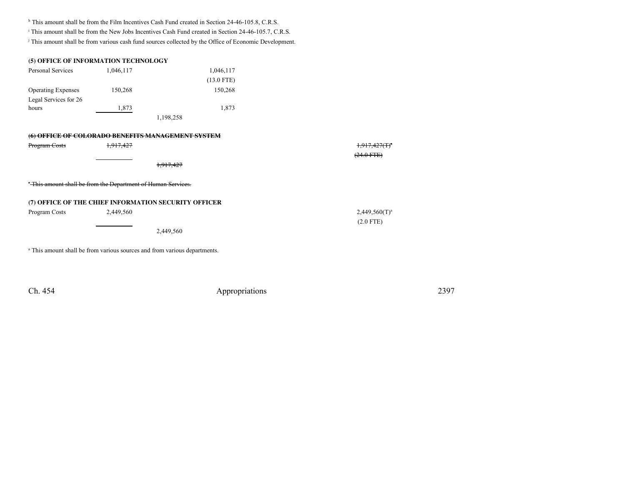h This amount shall be from the Film Incentives Cash Fund created in Section 24-46-105.8, C.R.S.

<sup>i</sup> This amount shall be from the New Jobs Incentives Cash Fund created in Section 24-46-105.7, C.R.S.

<sup>j</sup> This amount shall be from various cash fund sources collected by the Office of Economic Development.

|                                                                                                                   | (5) OFFICE OF INFORMATION TECHNOLOGY |              |  |  |  |  |
|-------------------------------------------------------------------------------------------------------------------|--------------------------------------|--------------|--|--|--|--|
| Personal Services                                                                                                 | 1,046,117                            | 1,046,117    |  |  |  |  |
|                                                                                                                   |                                      | $(13.0$ FTE) |  |  |  |  |
| <b>Operating Expenses</b>                                                                                         | 150,268                              | 150,268      |  |  |  |  |
| Legal Services for 26                                                                                             |                                      |              |  |  |  |  |
| hours                                                                                                             | 1,873                                | 1,873        |  |  |  |  |
|                                                                                                                   |                                      | 1,198,258    |  |  |  |  |
| FFI <del>CE OF COLORADO BENEFITS MANAGEMENT SYSTEM</del>                                                          |                                      |              |  |  |  |  |
| $D$ <sub>r</sub> $\alpha$ <sub>r</sub> $\alpha$ <sub>n</sub> $\alpha$ <sub>n</sub> $\alpha$ <sup>+</sup> $\alpha$ | 1.017.427                            |              |  |  |  |  |

| Program Costs | <del>1.917.427</del>                                                                 | 1.017.427/Ty<br>$(24.0$ FTE $)$ |
|---------------|--------------------------------------------------------------------------------------|---------------------------------|
|               | 1,917,427                                                                            |                                 |
|               | <sup>*</sup> This amount shall be from the Department of Human Services.             |                                 |
|               | (7) OFFICE OF THE CHIEF INFORMATION SECURITY OFFICER                                 |                                 |
| Program Costs | 2,449,560                                                                            | $2,449,560(T)^a$                |
|               |                                                                                      | $(2.0$ FTE)                     |
|               | 2,449,560                                                                            |                                 |
|               | <sup>a</sup> This amount shall be from various sources and from various departments. |                                 |

Ch. 454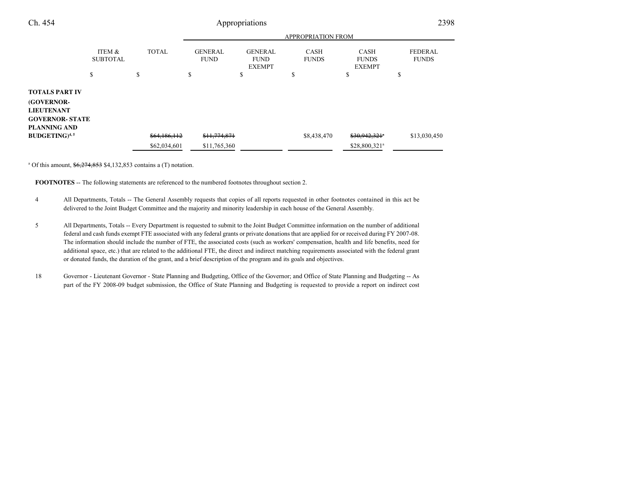| Ch. 454                                                                                                   |                                      | Appropriations |                               |                                                |                             |                                              |                                |
|-----------------------------------------------------------------------------------------------------------|--------------------------------------|----------------|-------------------------------|------------------------------------------------|-----------------------------|----------------------------------------------|--------------------------------|
|                                                                                                           |                                      |                |                               |                                                |                             |                                              |                                |
|                                                                                                           | <b>ITEM &amp;</b><br><b>SUBTOTAL</b> | <b>TOTAL</b>   | <b>GENERAL</b><br><b>FUND</b> | <b>GENERAL</b><br><b>FUND</b><br><b>EXEMPT</b> | <b>CASH</b><br><b>FUNDS</b> | <b>CASH</b><br><b>FUNDS</b><br><b>EXEMPT</b> | <b>FEDERAL</b><br><b>FUNDS</b> |
|                                                                                                           | S                                    | S              | \$                            | \$                                             | S                           | Ф                                            | \$                             |
| <b>TOTALS PART IV</b><br>(GOVERNOR-<br><b>LIEUTENANT</b><br><b>GOVERNOR- STATE</b><br><b>PLANNING AND</b> |                                      |                |                               |                                                |                             |                                              |                                |
| $BUDGETING)^{4,5}$                                                                                        |                                      | \$64,186,112   | \$11,774,871                  |                                                | \$8,438,470                 | \$30,942,321                                 | \$13,030,450                   |
|                                                                                                           |                                      | \$62,034,601   | \$11,765,360                  |                                                |                             | \$28,800,321 <sup>a</sup>                    |                                |

<sup>a</sup> Of this amount,  $\frac{6,274,853}{6,274,853}$  \$4,132,853 contains a (T) notation.

**FOOTNOTES** -- The following statements are referenced to the numbered footnotes throughout section 2.

- <sup>4</sup> All Departments, Totals -- The General Assembly requests that copies of all reports requested in other footnotes contained in this act be delivered to the Joint Budget Committee and the majority and minority leadership in each house of the General Assembly.
- <sup>5</sup> All Departments, Totals -- Every Department is requested to submit to the Joint Budget Committee information on the number of additional federal and cash funds exempt FTE associated with any federal grants or private donations that are applied for or received during FY 2007-08. The information should include the number of FTE, the associated costs (such as workers' compensation, health and life benefits, need for additional space, etc.) that are related to the additional FTE, the direct and indirect matching requirements associated with the federal grantor donated funds, the duration of the grant, and a brief description of the program and its goals and objectives.
- 18 Governor Lieutenant Governor State Planning and Budgeting, Office of the Governor; and Office of State Planning and Budgeting -- Aspart of the FY 2008-09 budget submission, the Office of State Planning and Budgeting is requested to provide a report on indirect cost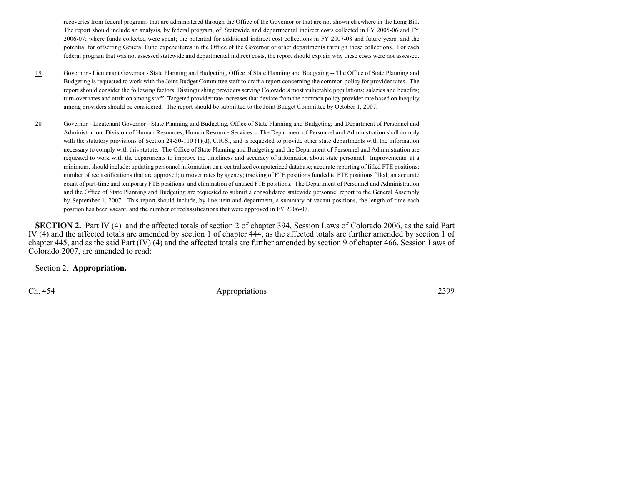recoveries from federal programs that are administered through the Office of the Governor or that are not shown elsewhere in the Long Bill.The report should include an analysis, by federal program, of: Statewide and departmental indirect costs collected in FY 2005-06 and FY 2006-07; where funds collected were spent; the potential for additional indirect cost collections in FY 2007-08 and future years; and the potential for offsetting General Fund expenditures in the Office of the Governor or other departments through these collections. For eachfederal program that was not assessed statewide and departmental indirect costs, the report should explain why these costs were not assessed.

- 19 Governor - Lieutenant Governor - State Planning and Budgeting, Office of State Planning and Budgeting -- The Office of State Planning and Budgeting is requested to work with the Joint Budget Committee staff to draft a report concerning the common policy for provider rates. The report should consider the following factors: Distinguishing providers serving Colorados most vulnerable populations; salaries and benefits;turn-over rates and attrition among staff. Targeted provider rate increases that deviate from the common policy provider rate based on inequityamong providers should be considered. The report should be submitted to the Joint Budget Committee by October 1, 2007.
- <sup>20</sup> Governor Lieutenant Governor State Planning and Budgeting, Office of State Planning and Budgeting; and Department of Personnel and Administration, Division of Human Resources, Human Resource Services -- The Department of Personnel and Administration shall complywith the statutory provisions of Section 24-50-110 (1)(d), C.R.S., and is requested to provide other state departments with the information necessary to comply with this statute. The Office of State Planning and Budgeting and the Department of Personnel and Administration are requested to work with the departments to improve the timeliness and accuracy of information about state personnel. Improvements, at a minimum, should include: updating personnel information on a centralized computerized database; accurate reporting of filled FTE positions;number of reclassifications that are approved; turnover rates by agency; tracking of FTE positions funded to FTE positions filled; an accurate count of part-time and temporary FTE positions; and elimination of unused FTE positions. The Department of Personnel and Administration and the Office of State Planning and Budgeting are requested to submit a consolidated statewide personnel report to the General Assembly by September 1, 2007. This report should include, by line item and department, a summary of vacant positions, the length of time eachposition has been vacant, and the number of reclassifications that were approved in FY 2006-07.

**SECTION 2.** Part IV (4) and the affected totals of section 2 of chapter 394, Session Laws of Colorado 2006, as the said Part IV (4) and the affected totals are amended by section 1 of chapter 444, as the affected totals are further amended by section 1 of chapter 445, and as the said Part (IV) (4) and the affected totals are further amended by section 9 of chapter 466, Session Laws ofColorado 2007, are amended to read:

Section 2. **Appropriation.**

Ch. 454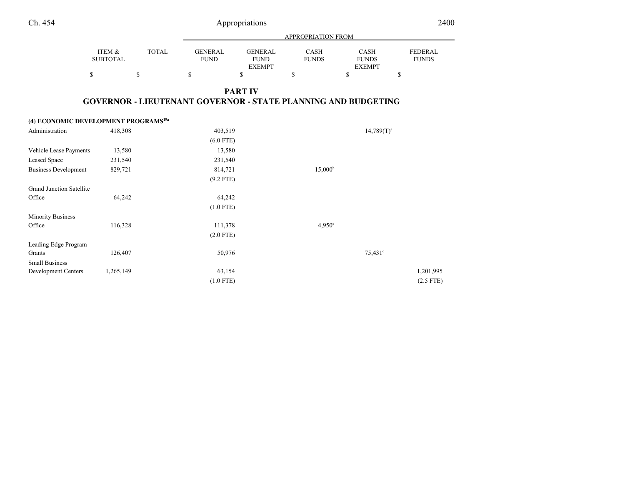| Ch. 454                                                 |                           |              |                               | Appropriations                                 |                                                                      |                                              | 2400                           |
|---------------------------------------------------------|---------------------------|--------------|-------------------------------|------------------------------------------------|----------------------------------------------------------------------|----------------------------------------------|--------------------------------|
|                                                         |                           |              |                               |                                                | <b>APPROPRIATION FROM</b>                                            |                                              |                                |
|                                                         | ITEM &<br><b>SUBTOTAL</b> | <b>TOTAL</b> | <b>GENERAL</b><br><b>FUND</b> | <b>GENERAL</b><br><b>FUND</b><br><b>EXEMPT</b> | <b>CASH</b><br><b>FUNDS</b>                                          | <b>CASH</b><br><b>FUNDS</b><br><b>EXEMPT</b> | <b>FEDERAL</b><br><b>FUNDS</b> |
| \$                                                      |                           | $\mathbb{S}$ | $\mathbb S$                   | \$                                             | \$                                                                   | \$                                           | $\mathbb{S}$                   |
|                                                         |                           |              |                               | <b>PART IV</b>                                 | <b>GOVERNOR - LIEUTENANT GOVERNOR - STATE PLANNING AND BUDGETING</b> |                                              |                                |
| (4) ECONOMIC DEVELOPMENT PROGRAMS <sup>19a</sup>        |                           |              |                               |                                                |                                                                      |                                              |                                |
| Administration                                          | 418,308                   |              | 403,519                       |                                                |                                                                      | $14,789(T)^a$                                |                                |
|                                                         |                           |              | $(6.0$ FTE)                   |                                                |                                                                      |                                              |                                |
| Vehicle Lease Payments                                  | 13,580                    |              | 13,580                        |                                                |                                                                      |                                              |                                |
| <b>Leased Space</b>                                     | 231,540                   |              | 231,540                       |                                                |                                                                      |                                              |                                |
| <b>Business Development</b>                             | 829,721                   |              | 814,721<br>$(9.2$ FTE)        |                                                | $15,000^{\rm b}$                                                     |                                              |                                |
| <b>Grand Junction Satellite</b>                         |                           |              |                               |                                                |                                                                      |                                              |                                |
| Office                                                  | 64,242                    |              | 64,242                        |                                                |                                                                      |                                              |                                |
|                                                         |                           |              | $(1.0$ FTE)                   |                                                |                                                                      |                                              |                                |
| <b>Minority Business</b>                                |                           |              |                               |                                                |                                                                      |                                              |                                |
| Office                                                  | 116,328                   |              | 111,378                       |                                                | 4,950°                                                               |                                              |                                |
|                                                         |                           |              | $(2.0$ FTE)                   |                                                |                                                                      |                                              |                                |
| Leading Edge Program<br>Grants<br><b>Small Business</b> | 126,407                   |              | 50,976                        |                                                |                                                                      | $75,431$ <sup>d</sup>                        |                                |
| Development Centers                                     | 1,265,149                 |              | 63,154                        |                                                |                                                                      |                                              | 1,201,995                      |

(1.0 FTE)

(2.5 FTE)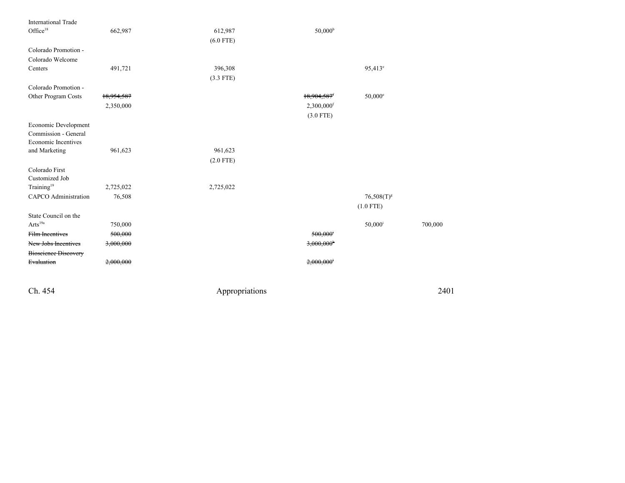| <b>International Trade</b>  |            |             |                           |                       |         |
|-----------------------------|------------|-------------|---------------------------|-----------------------|---------|
| $\mathrm{Office^{18}}$      | 662,987    | 612,987     | 50,000 <sup>b</sup>       |                       |         |
|                             |            | $(6.0$ FTE) |                           |                       |         |
| Colorado Promotion -        |            |             |                           |                       |         |
| Colorado Welcome            |            |             |                           |                       |         |
| Centers                     | 491,721    | 396,308     |                           | 95,413 <sup>e</sup>   |         |
|                             |            | $(3.3$ FTE) |                           |                       |         |
| Colorado Promotion -        |            |             |                           |                       |         |
| Other Program Costs         | 18,954,587 |             | $18,904,587$ <sup>f</sup> | $50,000^{\circ}$      |         |
|                             | 2,350,000  |             | 2,300,000f                |                       |         |
|                             |            |             | $(3.0$ FTE)               |                       |         |
| Economic Development        |            |             |                           |                       |         |
| Commission - General        |            |             |                           |                       |         |
| Economic Incentives         |            |             |                           |                       |         |
| and Marketing               | 961,623    | 961,623     |                           |                       |         |
|                             |            | $(2.0$ FTE) |                           |                       |         |
| Colorado First              |            |             |                           |                       |         |
| Customized Job              |            |             |                           |                       |         |
| Training <sup>19</sup>      | 2,725,022  | 2,725,022   |                           |                       |         |
| <b>CAPCO</b> Administration | 76,508     |             |                           | $76,508(T)^8$         |         |
|                             |            |             |                           | $(1.0$ FTE)           |         |
| State Council on the        |            |             |                           |                       |         |
| Arts <sup>19a</sup>         | 750,000    |             |                           | $50,000$ <sup>i</sup> | 700,000 |
| Film Incentives             | 500,000    |             | 500,000                   |                       |         |
| New Jobs Incentives         | 3,000,000  |             | $3,000,000$ <sup>*</sup>  |                       |         |
| <b>Bioscience Discovery</b> |            |             |                           |                       |         |
| Evaluation                  | 2,000,000  |             | 2,000,000                 |                       |         |
|                             |            |             |                           |                       |         |

Ch. 454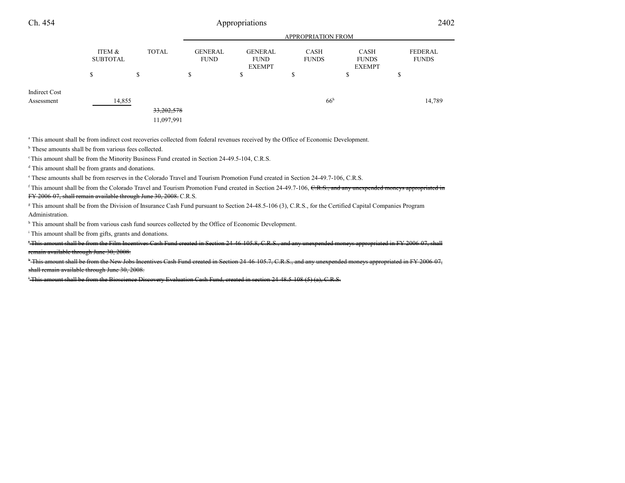| Ch. 454                            | Appropriations            |              |                               |                                                |                             | 2402                                         |                         |
|------------------------------------|---------------------------|--------------|-------------------------------|------------------------------------------------|-----------------------------|----------------------------------------------|-------------------------|
|                                    | <b>APPROPRIATION FROM</b> |              |                               |                                                |                             |                                              |                         |
|                                    | ITEM &<br><b>SUBTOTAL</b> | <b>TOTAL</b> | <b>GENERAL</b><br><b>FUND</b> | <b>GENERAL</b><br><b>FUND</b><br><b>EXEMPT</b> | <b>CASH</b><br><b>FUNDS</b> | <b>CASH</b><br><b>FUNDS</b><br><b>EXEMPT</b> | FEDERAL<br><b>FUNDS</b> |
|                                    | S                         | \$           | \$                            | ⋒<br>D                                         | \$                          | ъ                                            | ¢<br>D                  |
| <b>Indirect Cost</b><br>Assessment | 14,855                    |              |                               |                                                | 66 <sup>h</sup>             |                                              | 14,789                  |
|                                    |                           | 33,202,578   |                               |                                                |                             |                                              |                         |
|                                    |                           | 11,097,991   |                               |                                                |                             |                                              |                         |

a This amount shall be from indirect cost recoveries collected from federal revenues received by the Office of Economic Development.

<sup>b</sup> These amounts shall be from various fees collected.

<sup>c</sup> This amount shall be from the Minority Business Fund created in Section 24-49.5-104, C.R.S.

<sup>d</sup> This amount shall be from grants and donations.

e These amounts shall be from reserves in the Colorado Travel and Tourism Promotion Fund created in Section 24-49.7-106, C.R.S.

<sup>f</sup> This amount shall be from the Colorado Travel and Tourism Promotion Fund created in Section 24-49.7-106, C.R.S., and any unexpended moneys appropriated in <del>FY 2006-07, shall remain available through June 30, 2008.</del> C.R.S.

<sup>g</sup> This amount shall be from the Division of Insurance Cash Fund pursuant to Section 24-48.5-106 (3), C.R.S., for the Certified Capital Companies Program Administration.

<sup>h</sup> This amount shall be from various cash fund sources collected by the Office of Economic Development.

<sup>i</sup> This amount shall be from gifts, grants and donations.

 <sup>j</sup> This amount shall be from the Film Incentives Cash Fund created in Section 24-46-105.8, C.R.S., and any unexpended moneys appropriated in FY 2006-07, shallremain available through June 30, 2008.

 <sup>k</sup> This amount shall be from the New Jobs Incentives Cash Fund created in Section 24-46-105.7, C.R.S., and any unexpended moneys appropriated in FY 2006-07,shall remain available through June 30, 2008.

<sup>l</sup> This amount shall be from the Bioscience Discovery Evaluation Cash Fund, created in section 24-48.5-108 (5) (a), C.R.S.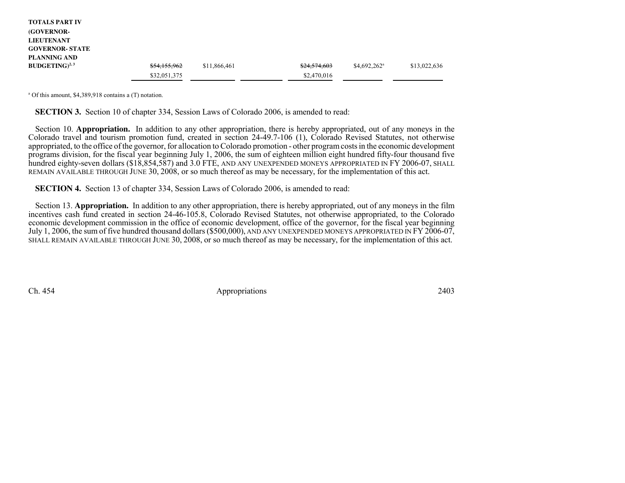| <b>TOTALS PART IV</b>  |              |              |              |                |              |
|------------------------|--------------|--------------|--------------|----------------|--------------|
| <b>(GOVERNOR-</b>      |              |              |              |                |              |
| <b>LIEUTENANT</b>      |              |              |              |                |              |
| <b>GOVERNOR- STATE</b> |              |              |              |                |              |
| PLANNING AND           |              |              |              |                |              |
| $BUDGETING)^{2,3}$     | \$54,155,962 | \$11,866,461 | \$24,574,603 | $$4,692,262^a$ | \$13,022,636 |
|                        | \$32,051,375 |              | \$2,470,016  |                |              |

a Of this amount, \$4,389,918 contains a (T) notation.

**SECTION 3.** Section 10 of chapter 334, Session Laws of Colorado 2006, is amended to read:

Section 10. **Appropriation.** In addition to any other appropriation, there is hereby appropriated, out of any moneys in the Colorado travel and tourism promotion fund, created in section 24-49.7-106 (1), Colorado Revised Statutes, not otherwise appropriated, to the office of the governor, for allocation to Colorado promotion - other program costs in the economic development programs division, for the fiscal year beginning July 1, 2006, the sum of eighteen million eight hundred fifty-four thousand fivehundred eighty-seven dollars (\$18,854,587) and 3.0 FTE, AND ANY UNEXPENDED MONEYS APPROPRIATED IN FY 2006-07, SHALL<br>REMAIN AVAILABLE TURQUCU JUNE 30, 2008, or so much thereof as may be necessary, for the implementation of REMAIN AVAILABLE THROUGH JUNE 30, 2008, or so much thereof as may be necessary, for the implementation of this act.

**SECTION 4.** Section 13 of chapter 334, Session Laws of Colorado 2006, is amended to read:

Section 13. **Appropriation.** In addition to any other appropriation, there is hereby appropriated, out of any moneys in the film incentives cash fund created in section 24-46-105.8, Colorado Revised Statutes, not otherwise appropriated, to the Colorado economic development commission in the office of economic development, office of the governor, for the fiscal year beginningJuly 1, 2006, the sum of five hundred thousand dollars (\$500,000), AND ANY UNEXPENDED MONEYS APPROPRIATED IN FY 2006-07,<br>SUALL BEMAIN AVAILABLE TURQUCH JUNE 20, 2008, or so much thoros as may be necessary, for the implemen SHALL REMAIN AVAILABLE THROUGH JUNE 30, 2008, or so much thereof as may be necessary, for the implementation of this act.

Ch. 454